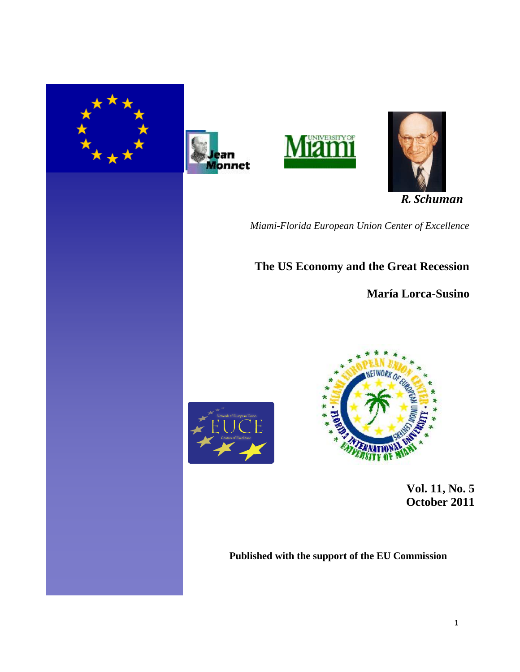







 *R. Schuman*

*Miami-Florida European Union Center of Excellence*

**The US Economy and the Great Recession** 

**María Lorca-Susino**





 **Vol. 11, No. 5 October 2011** 

**Published with the support of the EU Commission**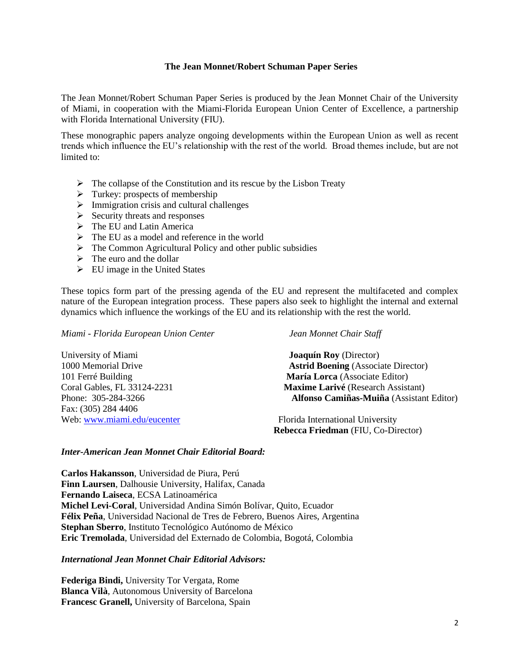## **The Jean Monnet/Robert Schuman Paper Series**

The Jean Monnet/Robert Schuman Paper Series is produced by the Jean Monnet Chair of the University of Miami, in cooperation with the Miami-Florida European Union Center of Excellence, a partnership with Florida International University (FIU).

These monographic papers analyze ongoing developments within the European Union as well as recent trends which influence the EU"s relationship with the rest of the world. Broad themes include, but are not limited to:

- $\triangleright$  The collapse of the Constitution and its rescue by the Lisbon Treaty
- $\triangleright$  Turkey: prospects of membership
- $\triangleright$  Immigration crisis and cultural challenges
- $\triangleright$  Security threats and responses
- $\triangleright$  The EU and Latin America
- $\triangleright$  The EU as a model and reference in the world
- $\triangleright$  The Common Agricultural Policy and other public subsidies
- $\triangleright$  The euro and the dollar
- $\triangleright$  EU image in the United States

These topics form part of the pressing agenda of the EU and represent the multifaceted and complex nature of the European integration process. These papers also seek to highlight the internal and external dynamics which influence the workings of the EU and its relationship with the rest the world.

*Miami - Florida European Union Center Jean Monnet Chair Staff*

University of Miami **Joaquín Roy** (Director) Fax: (305) 284 4406 Web: [www.miami.edu/eucenter](http://www.miami.edu/eucenter) Florida International University

1000 Memorial Drive **Astrid Boening** (Associate Director) 101 Ferré Building **María Lorca** (Associate Editor) Coral Gables, FL 33124-2231 **Maxime Larivé** (Research Assistant) Phone: 305-284-3266 **Alfonso Camiñas-Muiña** (Assistant Editor)

**Rebecca Friedman** (FIU, Co-Director)

### *Inter-American Jean Monnet Chair Editorial Board:*

**Carlos Hakansson**, Universidad de Piura, Perú **Finn Laursen**, Dalhousie University, Halifax, Canada **Fernando Laiseca**, ECSA Latinoamérica **Michel Levi-Coral**, Universidad Andina Simón Bolívar, Quito, Ecuador **Félix Peña**, Universidad Nacional de Tres de Febrero, Buenos Aires, Argentina **Stephan Sberro**, Instituto Tecnológico Autónomo de México **Eric Tremolada**, Universidad del Externado de Colombia, Bogotá, Colombia

# *International Jean Monnet Chair Editorial Advisors:*

**Federiga Bindi,** University Tor Vergata, Rome **Blanca Vilà**, Autonomous University of Barcelona **Francesc Granell,** University of Barcelona, Spain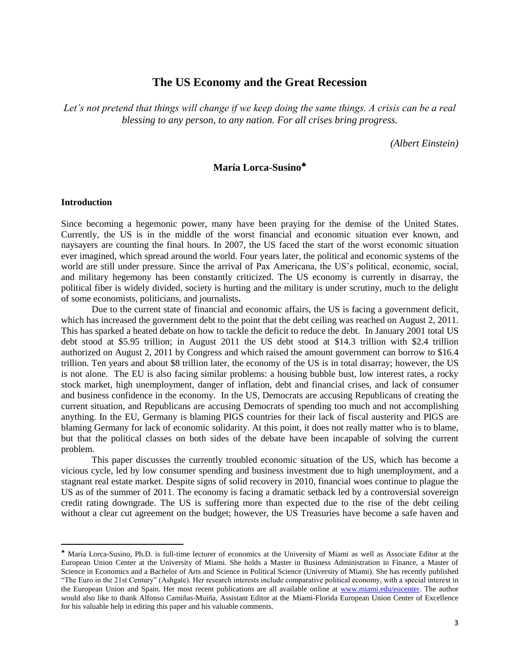# **The US Economy and the Great Recession**

*Let's not pretend that things will change if we keep doing the same things. A crisis can be a real blessing to any person, to any nation. For all crises bring progress.*

*(Albert Einstein)*

# **María Lorca-Susino**

### **Introduction**

l

Since becoming a hegemonic power, many have been praying for the demise of the United States. Currently, the US is in the middle of the worst financial and economic situation ever known, and naysayers are counting the final hours. In 2007, the US faced the start of the worst economic situation ever imagined, which spread around the world. Four years later, the political and economic systems of the world are still under pressure. Since the arrival of Pax Americana, the US"s political, economic, social, and military hegemony has been constantly criticized. The US economy is currently in disarray, the political fiber is widely divided, society is hurting and the military is under scrutiny, much to the delight of some economists, politicians, and journalists**.**

Due to the current state of financial and economic affairs, the US is facing a government deficit, which has increased the government debt to the point that the debt ceiling was reached on August 2, 2011. This has sparked a heated debate on how to tackle the deficit to reduce the debt. In January 2001 total US debt stood at \$5.95 trillion; in August 2011 the US debt stood at \$14.3 trillion with \$2.4 trillion authorized on August 2, 2011 by Congress and which raised the amount government can borrow to \$16.4 trillion. Ten years and about \$8 trillion later, the economy of the US is in total disarray; however, the US is not alone. The EU is also facing similar problems: a housing bubble bust, low interest rates, a rocky stock market, high unemployment, danger of inflation, debt and financial crises, and lack of consumer and business confidence in the economy. In the US, Democrats are accusing Republicans of creating the current situation, and Republicans are accusing Democrats of spending too much and not accomplishing anything. In the EU, Germany is blaming PIGS countries for their lack of fiscal austerity and PIGS are blaming Germany for lack of economic solidarity. At this point, it does not really matter who is to blame, but that the political classes on both sides of the debate have been incapable of solving the current problem.

This paper discusses the currently troubled economic situation of the US, which has become a vicious cycle, led by low consumer spending and business investment due to high unemployment, and a stagnant real estate market. Despite signs of solid recovery in 2010, financial woes continue to plague the US as of the summer of 2011. The economy is facing a dramatic setback led by a controversial sovereign credit rating downgrade. The US is suffering more than expected due to the rise of the debt ceiling without a clear cut agreement on the budget; however, the US Treasuries have become a safe haven and

María Lorca-Susino, Ph.D. is full-time lecturer of economics at the University of Miami as well as Associate Editor at the European Union Center at the University of Miami. She holds a Master in Business Administration in Finance, a Master of Science in Economics and a Bachelor of Arts and Science in Political Science (University of Miami). She has recently published "The Euro in the 21st Century" (Ashgate). Her research interests include comparative political economy, with a special interest in the European Union and Spain. Her most recent publications are all available online at [www.miami.edu/eucenter.](http://www.miami.edu/eucenter) The author would also like to thank Alfonso Camiñas-Muiña, Assistant Editor at the Miami-Florida European Union Center of Excellence for his valuable help in editing this paper and his valuable comments.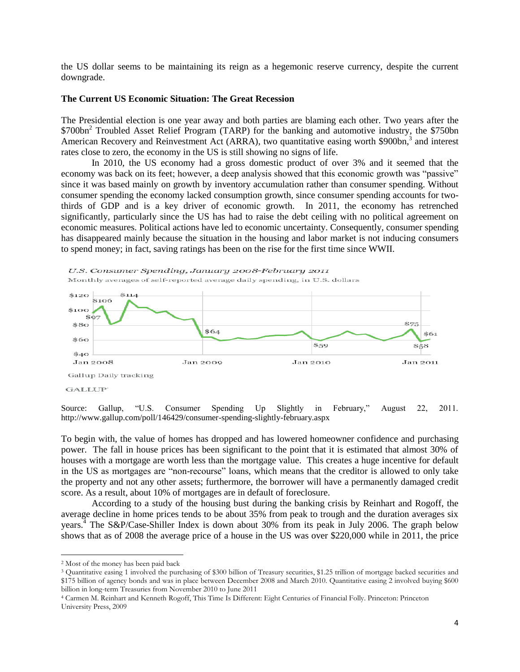the US dollar seems to be maintaining its reign as a hegemonic reserve currency, despite the current downgrade.

#### **The Current US Economic Situation: The Great Recession**

The Presidential election is one year away and both parties are blaming each other. Two years after the  $$700bn<sup>2</sup>$  Troubled Asset Relief Program (TARP) for the banking and automotive industry, the \$750bn American Recovery and Reinvestment Act (ARRA), two quantitative easing worth \$900bn,<sup>3</sup> and interest rates close to zero, the economy in the US is still showing no signs of life.

In 2010, the US economy had a gross domestic product of over 3% and it seemed that the economy was back on its feet; however, a deep analysis showed that this economic growth was "passive" since it was based mainly on growth by inventory accumulation rather than consumer spending. Without consumer spending the economy lacked consumption growth, since consumer spending accounts for twothirds of GDP and is a key driver of economic growth. In 2011, the economy has retrenched significantly, particularly since the US has had to raise the debt ceiling with no political agreement on economic measures. Political actions have led to economic uncertainty. Consequently, consumer spending has disappeared mainly because the situation in the housing and labor market is not inducing consumers to spend money; in fact, saving ratings has been on the rise for the first time since WWII.



Source: Gallup, "U.S. Consumer Spending Up Slightly in February," August 22, 2011. http://www.gallup.com/poll/146429/consumer-spending-slightly-february.aspx

To begin with, the value of homes has dropped and has lowered homeowner confidence and purchasing power. The fall in house prices has been significant to the point that it is estimated that almost 30% of houses with a mortgage are worth less than the mortgage value. This creates a huge incentive for default in the US as mortgages are "non-recourse" loans, which means that the creditor is allowed to only take the property and not any other assets; furthermore, the borrower will have a permanently damaged credit score. As a result, about 10% of mortgages are in default of foreclosure.

According to a study of the housing bust during the banking crisis by Reinhart and Rogoff, the average decline in home prices tends to be about 35% from peak to trough and the duration averages six years.<sup>4</sup> The S&P/Case-Shiller Index is down about 30% from its peak in July 2006. The graph below shows that as of 2008 the average price of a house in the US was over \$220,000 while in 2011, the price

<sup>2</sup> Most of the money has been paid back

<sup>3</sup> Quantitative easing 1 involved the purchasing of \$300 billion of Treasury securities, \$1.25 trillion of mortgage backed securities and \$175 billion of agency bonds and was in place between December 2008 and March 2010. Quantitative easing 2 involved buying \$600 billion in long-term Treasuries from November 2010 to June 2011

<sup>4</sup> Carmen M. Reinhart and Kenneth Rogoff, This Time Is Different: Eight Centuries of Financial Folly. Princeton: Princeton University Press, 2009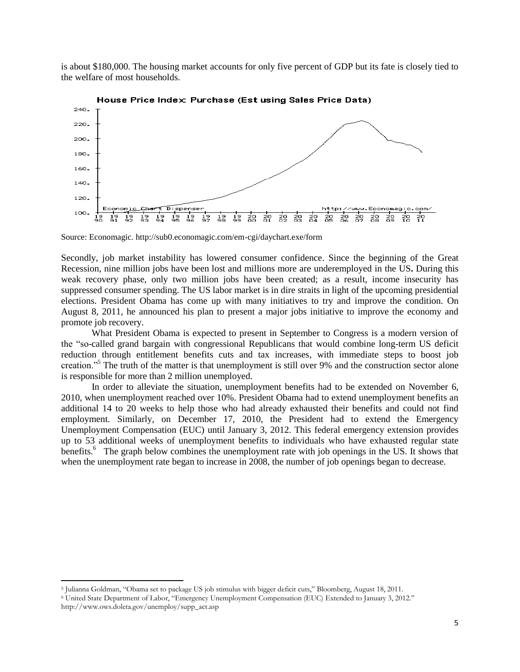is about \$180,000. The housing market accounts for only five percent of GDP but its fate is closely tied to the welfare of most households.



House Price Index: Purchase (Est using Sales Price Data)

Secondly, job market instability has lowered consumer confidence. Since the beginning of the Great Recession, nine million jobs have been lost and millions more are underemployed in the US**.** During this weak recovery phase, only two million jobs have been created; as a result, income insecurity has suppressed consumer spending. The US labor market is in dire straits in light of the upcoming presidential elections. President Obama has come up with many initiatives to try and improve the condition. On August 8, 2011, he announced his plan to present a major jobs initiative to improve the economy and promote job recovery.

What President Obama is expected to present in September to Congress is a modern version of the "so-called grand bargain with congressional Republicans that would combine long-term US deficit reduction through entitlement benefits cuts and tax increases, with immediate steps to boost job creation."<sup>5</sup> The truth of the matter is that unemployment is still over 9% and the construction sector alone is responsible for more than 2 million unemployed.

In order to alleviate the situation, unemployment benefits had to be extended on November 6, 2010, when unemployment reached over 10%. President Obama had to extend unemployment benefits an additional 14 to 20 weeks to help those who had already exhausted their benefits and could not find employment. Similarly, on December 17, 2010, the President had to extend the Emergency Unemployment Compensation (EUC) until January 3, 2012. This federal emergency extension provides up to 53 additional weeks of unemployment benefits to individuals who have exhausted regular state benefits.<sup>6</sup> The graph below combines the unemployment rate with job openings in the US. It shows that when the unemployment rate began to increase in 2008, the number of job openings began to decrease.

Source: Economagic. http://sub0.economagic.com/em-cgi/daychart.exe/form

<sup>5</sup> Julianna Goldman, "Obama set to package US job stimulus with bigger deficit cuts," Bloomberg, August 18, 2011.

<sup>6</sup> United State Department of Labor, "Emergency Unemployment Compensation (EUC) Extended to January 3, 2012."

http://www.ows.doleta.gov/unemploy/supp\_act.asp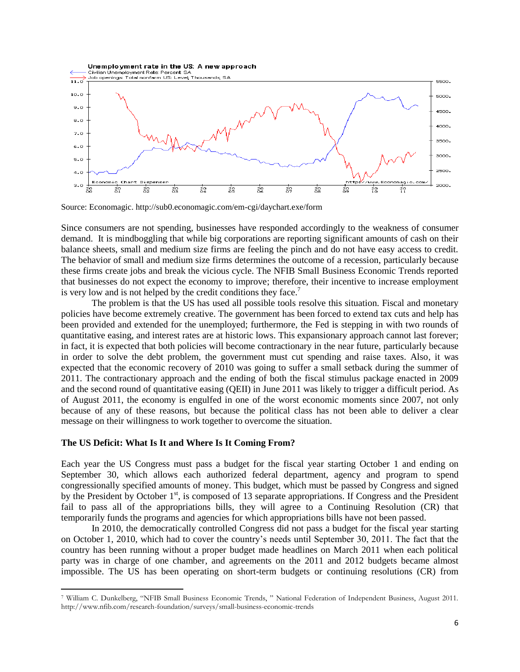

Source: Economagic. http://sub0.economagic.com/em-cgi/daychart.exe/form

Since consumers are not spending, businesses have responded accordingly to the weakness of consumer demand. It is mindboggling that while big corporations are reporting significant amounts of cash on their balance sheets, small and medium size firms are feeling the pinch and do not have easy access to credit. The behavior of small and medium size firms determines the outcome of a recession, particularly because these firms create jobs and break the vicious cycle. The NFIB Small Business Economic Trends reported that businesses do not expect the economy to improve; therefore, their incentive to increase employment is very low and is not helped by the credit conditions they face.<sup>7</sup>

The problem is that the US has used all possible tools resolve this situation. Fiscal and monetary policies have become extremely creative. The government has been forced to extend tax cuts and help has been provided and extended for the unemployed; furthermore, the Fed is stepping in with two rounds of quantitative easing, and interest rates are at historic lows. This expansionary approach cannot last forever; in fact, it is expected that both policies will become contractionary in the near future, particularly because in order to solve the debt problem, the government must cut spending and raise taxes. Also, it was expected that the economic recovery of 2010 was going to suffer a small setback during the summer of 2011. The contractionary approach and the ending of both the fiscal stimulus package enacted in 2009 and the second round of quantitative easing (QEII) in June 2011 was likely to trigger a difficult period. As of August 2011, the economy is engulfed in one of the worst economic moments since 2007, not only because of any of these reasons, but because the political class has not been able to deliver a clear message on their willingness to work together to overcome the situation.

#### **The US Deficit: What Is It and Where Is It Coming From?**

l

Each year the US Congress must pass a budget for the fiscal year starting October 1 and ending on September 30, which allows each authorized federal department, agency and program to spend congressionally specified amounts of money. This budget, which must be passed by Congress and signed by the President by October 1<sup>st</sup>, is composed of 13 separate appropriations. If Congress and the President fail to pass all of the appropriations bills, they will agree to a Continuing Resolution (CR) that temporarily funds the programs and agencies for which appropriations bills have not been passed.

In 2010, the democratically controlled Congress did not pass a budget for the fiscal year starting on October 1, 2010, which had to cover the country"s needs until September 30, 2011. The fact that the country has been running without a proper budget made headlines on March 2011 when each political party was in charge of one chamber, and agreements on the 2011 and 2012 budgets became almost impossible. The US has been operating on short-term budgets or continuing resolutions (CR) from

<sup>7</sup> William C. Dunkelberg, "NFIB Small Business Economic Trends, " National Federation of Independent Business, August 2011. http://www.nfib.com/research-foundation/surveys/small-business-economic-trends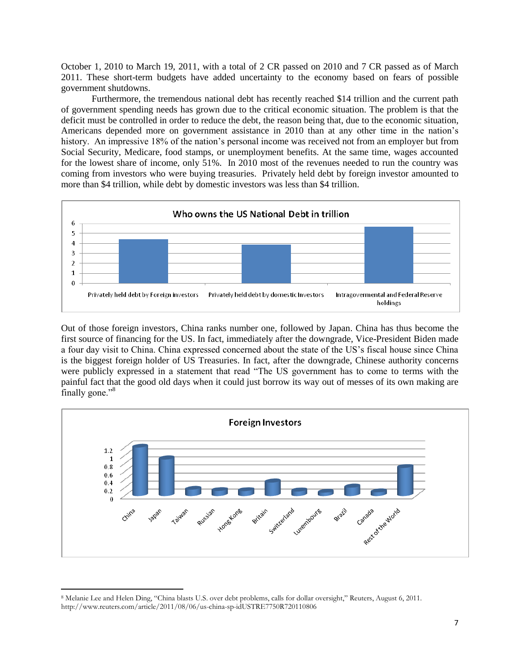October 1, 2010 to March 19, 2011, with a total of 2 CR passed on 2010 and 7 CR passed as of March 2011. These short-term budgets have added uncertainty to the economy based on fears of possible government shutdowns.

Furthermore, the tremendous national debt has recently reached \$14 trillion and the current path of government spending needs has grown due to the critical economic situation. The problem is that the deficit must be controlled in order to reduce the debt, the reason being that, due to the economic situation, Americans depended more on government assistance in 2010 than at any other time in the nation"s history. An impressive 18% of the nation's personal income was received not from an employer but from Social Security, Medicare, food stamps, or unemployment benefits. At the same time, wages accounted for the lowest share of income, only 51%. In 2010 most of the revenues needed to run the country was coming from investors who were buying treasuries. Privately held debt by foreign investor amounted to more than \$4 trillion, while debt by domestic investors was less than \$4 trillion.



Out of those foreign investors, China ranks number one, followed by Japan. China has thus become the first source of financing for the US. In fact, immediately after the downgrade, Vice-President Biden made a four day visit to China. China expressed concerned about the state of the US"s fiscal house since China is the biggest foreign holder of US Treasuries. In fact, after the downgrade, Chinese authority concerns were publicly expressed in a statement that read "The US government has to come to terms with the painful fact that the good old days when it could just borrow its way out of messes of its own making are finally gone."<sup>8</sup>



l <sup>8</sup> Melanie Lee and Helen Ding, "China blasts U.S. over debt problems, calls for dollar oversight," Reuters, August 6, 2011. http://www.reuters.com/article/2011/08/06/us-china-sp-idUSTRE7750R720110806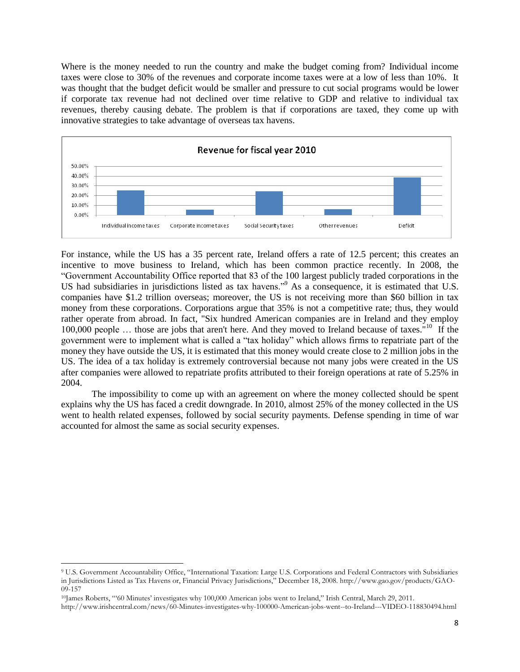Where is the money needed to run the country and make the budget coming from? Individual income taxes were close to 30% of the revenues and corporate income taxes were at a low of less than 10%. It was thought that the budget deficit would be smaller and pressure to cut social programs would be lower if corporate tax revenue had not declined over time relative to GDP and relative to individual tax revenues, thereby causing debate. The problem is that if corporations are taxed, they come up with innovative strategies to take advantage of overseas tax havens.



For instance, while the US has a 35 percent rate, Ireland offers a rate of 12.5 percent; this creates an incentive to move business to Ireland, which has been common practice recently. In 2008, the "Government Accountability Office reported that 83 of the 100 largest publicly traded corporations in the US had subsidiaries in jurisdictions listed as tax havens."<sup>9</sup> As a consequence, it is estimated that U.S. companies have \$1.2 trillion overseas; moreover, the US is not receiving more than \$60 billion in tax money from these corporations. Corporations argue that 35% is not a competitive rate; thus, they would rather operate from abroad. In fact, "Six hundred American companies are in Ireland and they employ 100,000 people ... those are jobs that aren't here. And they moved to Ireland because of taxes."<sup>10</sup> If the government were to implement what is called a "tax holiday" which allows firms to repatriate part of the money they have outside the US, it is estimated that this money would create close to 2 million jobs in the US. The idea of a tax holiday is extremely controversial because not many jobs were created in the US after companies were allowed to repatriate profits attributed to their foreign operations at rate of 5.25% in 2004.

The impossibility to come up with an agreement on where the money collected should be spent explains why the US has faced a credit downgrade. In 2010, almost 25% of the money collected in the US went to health related expenses, followed by social security payments. Defense spending in time of war accounted for almost the same as social security expenses.

<sup>9</sup> U.S. Government Accountability Office, "International Taxation: Large U.S. Corporations and Federal Contractors with Subsidiaries in Jurisdictions Listed as Tax Havens or, Financial Privacy Jurisdictions," December 18, 2008. http://www.gao.gov/products/GAO-09-157

<sup>10</sup>James Roberts, ""60 Minutes" investigates why 100,000 American jobs went to Ireland," Irish Central, March 29, 2011.

http://www.irishcentral.com/news/60-Minutes-investigates-why-100000-American-jobs-went--to-Ireland---VIDEO-118830494.html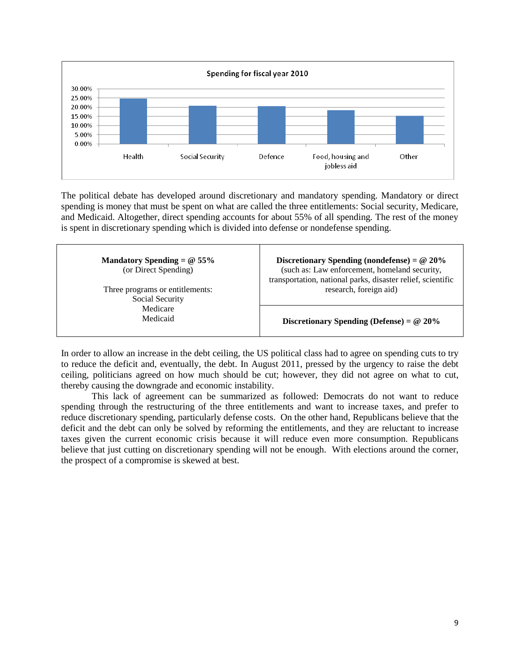

The political debate has developed around discretionary and mandatory spending. Mandatory or direct spending is money that must be spent on what are called the three entitlements: Social security, Medicare, and Medicaid. Altogether, direct spending accounts for about 55% of all spending. The rest of the money is spent in discretionary spending which is divided into defense or nondefense spending.

| Mandatory Spending = $@$ 55%<br>(or Direct Spending)<br>Three programs or entitlements: | Discretionary Spending (nondefense) = $@20\%$<br>(such as: Law enforcement, homeland security,<br>transportation, national parks, disaster relief, scientific<br>research, foreign aid) |
|-----------------------------------------------------------------------------------------|-----------------------------------------------------------------------------------------------------------------------------------------------------------------------------------------|
| Social Security                                                                         |                                                                                                                                                                                         |
| Medicare<br>Medicaid                                                                    | Discretionary Spending (Defense) = $@20\%$                                                                                                                                              |

In order to allow an increase in the debt ceiling, the US political class had to agree on spending cuts to try to reduce the deficit and, eventually, the debt. In August 2011, pressed by the urgency to raise the debt ceiling, politicians agreed on how much should be cut; however, they did not agree on what to cut, thereby causing the downgrade and economic instability.

This lack of agreement can be summarized as followed: Democrats do not want to reduce spending through the restructuring of the three entitlements and want to increase taxes, and prefer to reduce discretionary spending, particularly defense costs. On the other hand, Republicans believe that the deficit and the debt can only be solved by reforming the entitlements, and they are reluctant to increase taxes given the current economic crisis because it will reduce even more consumption. Republicans believe that just cutting on discretionary spending will not be enough. With elections around the corner, the prospect of a compromise is skewed at best.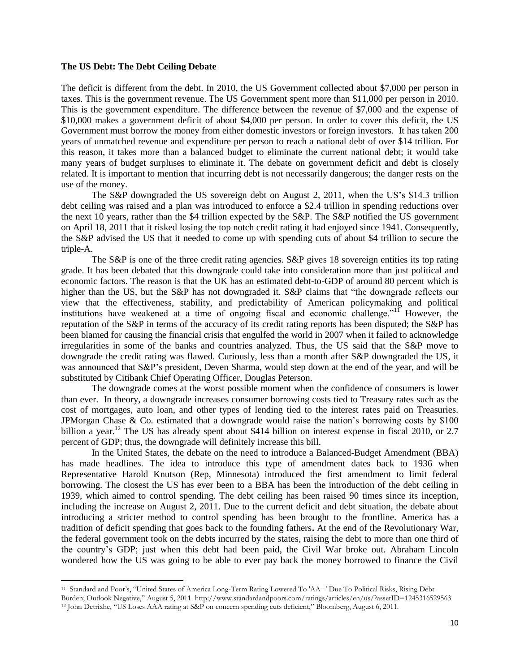#### **The US Debt: The Debt Ceiling Debate**

The deficit is different from the debt. In 2010, the US Government collected about \$7,000 per person in taxes. This is the government revenue. The US Government spent more than \$11,000 per person in 2010. This is the government expenditure. The difference between the revenue of \$7,000 and the expense of \$10,000 makes a government deficit of about \$4,000 per person. In order to cover this deficit, the US Government must borrow the money from either domestic investors or foreign investors. It has taken 200 years of unmatched revenue and expenditure per person to reach a national debt of over \$14 trillion. For this reason, it takes more than a balanced budget to eliminate the current national debt; it would take many years of budget surpluses to eliminate it. The debate on government deficit and debt is closely related. It is important to mention that incurring debt is not necessarily dangerous; the danger rests on the use of the money.

The S&P downgraded the US sovereign debt on August 2, 2011, when the US"s \$14.3 trillion debt ceiling was raised and a plan was introduced to enforce a \$2.4 trillion in spending reductions over the next 10 years, rather than the \$4 trillion expected by the S&P. The S&P notified the US government on April 18, 2011 that it risked losing the top notch credit rating it had enjoyed since 1941. Consequently, the S&P advised the US that it needed to come up with spending cuts of about \$4 trillion to secure the triple-A.

The S&P is one of the three credit rating agencies. S&P gives 18 sovereign entities its top rating grade. It has been debated that this downgrade could take into consideration more than just political and economic factors. The reason is that the UK has an estimated debt-to-GDP of around 80 percent which is higher than the US, but the S&P has not downgraded it. S&P claims that "the downgrade reflects our view that the effectiveness, stability, and predictability of American policymaking and political institutions have weakened at a time of ongoing fiscal and economic challenge."<sup>11</sup> However, the reputation of the S&P in terms of the accuracy of its credit rating reports has been disputed; the S&P has been blamed for causing the financial crisis that engulfed the world in 2007 when it failed to acknowledge irregularities in some of the banks and countries analyzed. Thus, the US said that the S&P move to downgrade the credit rating was flawed. Curiously, less than a month after S&P downgraded the US, it was announced that S&P's president, Deven Sharma, would step down at the end of the year, and will be substituted by Citibank Chief Operating Officer, Douglas Peterson.

The downgrade comes at the worst possible moment when the confidence of consumers is lower than ever. In theory, a downgrade increases consumer borrowing costs tied to Treasury rates such as the cost of mortgages, auto loan, and other types of lending tied to the interest rates paid on Treasuries. JPMorgan Chase & Co. estimated that a downgrade would raise the nation"s borrowing costs by \$100 billion a year.<sup>12</sup> The US has already spent about \$414 billion on interest expense in fiscal 2010, or 2.7 percent of GDP; thus, the downgrade will definitely increase this bill.

In the United States, the debate on the need to introduce a Balanced-Budget Amendment (BBA) has made headlines. The idea to introduce this type of amendment dates back to 1936 when Representative Harold Knutson (Rep, Minnesota) introduced the first amendment to limit federal borrowing. The closest the US has ever been to a BBA has been the introduction of the debt ceiling in 1939, which aimed to control spending. The debt ceiling has been raised 90 times since its inception, including the increase on August 2, 2011. Due to the current deficit and debt situation, the debate about introducing a stricter method to control spending has been brought to the frontline. America has a tradition of deficit spending that goes back to the founding fathers**.** At the end of the Revolutionary War, the federal government took on the debts incurred by the states, raising the debt to more than one third of the country"s GDP; just when this debt had been paid, the Civil War broke out. Abraham Lincoln wondered how the US was going to be able to ever pay back the money borrowed to finance the Civil

<sup>11</sup> Standard and Poor"s, "United States of America Long-Term Rating Lowered To 'AA+' Due To Political Risks, Rising Debt Burden; Outlook Negative," August 5, 2011. http://www.standardandpoors.com/ratings/articles/en/us/?assetID=1245316529563

<sup>12</sup> John Detrixhe, "US Loses AAA rating at S&P on concern spending cuts deficient," Bloomberg, August 6, 2011.